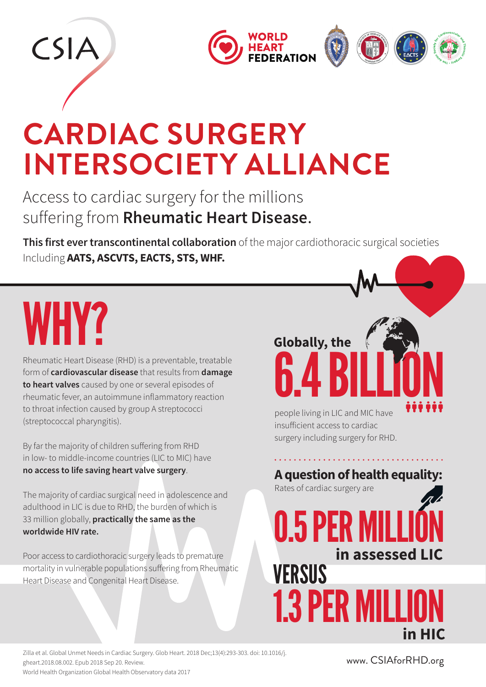

#### **CARDIAC SURGERY INTERSOCIETY ALLIANCE**

Access to cardiac surgery for the millions suffering from **Rheumatic Heart Disease**.

**This first ever transcontinental collaboration** of the major cardiothoracic surgical societies Including **AATS, ASCVTS, EACTS, STS, WHF.**

# WHY?

Rheumatic Heart Disease (RHD) is a preventable, treatable form of **cardiovascular disease** that results from **damage to heart valves** caused by one or several episodes of rheumatic fever, an autoimmune inflammatory reaction to throat infection caused by group A streptococci (streptococcal pharyngitis).

By far the majority of children suffering from RHD in low- to middle-income countries (LIC to MIC) have **no access to life saving heart valve surgery**.

The majority of cardiac surgical need in adolescence and adulthood in LIC is due to RHD, the burden of which is 33 million globally, **practically the same as the worldwide HIV rate.**

Poor access to cardiothoracic surgery leads to premature mortality in vulnerable populations suffering from Rheumatic Heart Disease and Congenital Heart Disease.

## 6.4 BILLION **Globally, the**

people living in LIC and MIC have insufficient access to cardiac surgery including surgery for RHD.

**A question of health equality:**  Rates of cardiac surgery are

0.5 PER M **1.3 PER MILL in assessed LIC VERSUS in HIC**

Zilla et al. Global Unmet Needs in Cardiac Surgery. Glob Heart. 2018 Dec;13(4):293-303. doi: 10.1016/j. gheart.2018.08.002. Epub 2018 Sep 20. Review. World Health Organization Global Health Observatory data 2017

www. CSIAforRHD.org